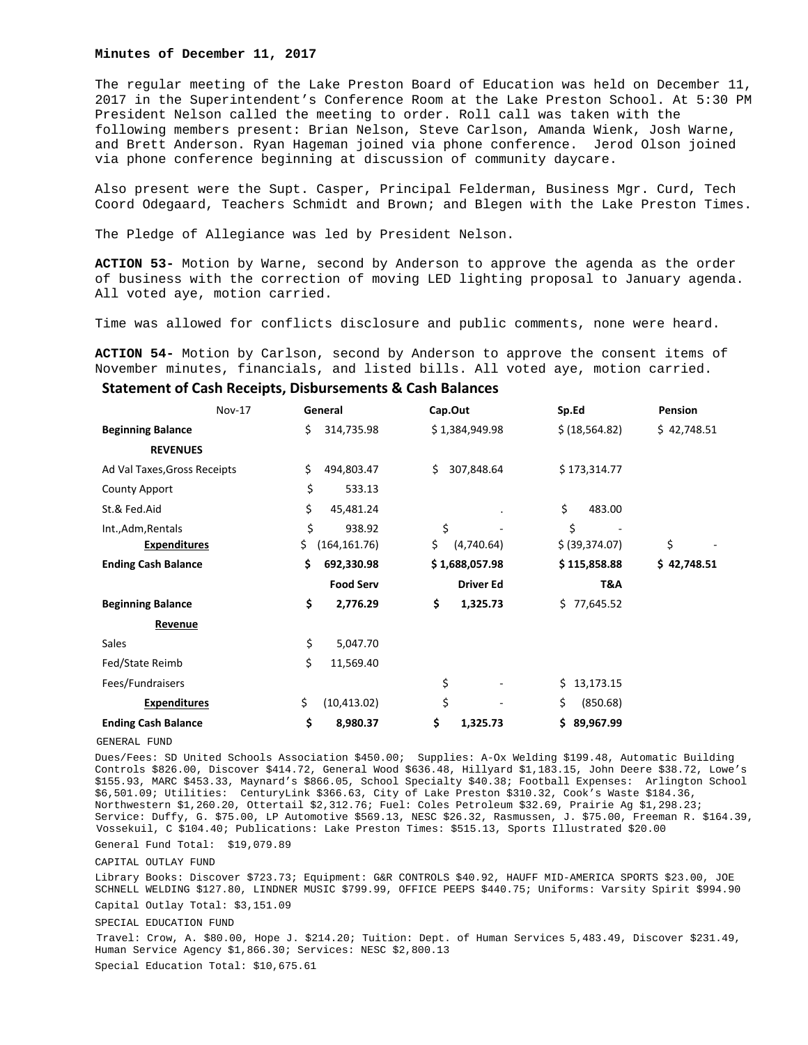#### **Minutes of December 11, 2017**

The regular meeting of the Lake Preston Board of Education was held on December 11, 2017 in the Superintendent's Conference Room at the Lake Preston School. At 5:30 PM President Nelson called the meeting to order. Roll call was taken with the following members present: Brian Nelson, Steve Carlson, Amanda Wienk, Josh Warne, and Brett Anderson. Ryan Hageman joined via phone conference. Jerod Olson joined via phone conference beginning at discussion of community daycare.

Also present were the Supt. Casper, Principal Felderman, Business Mgr. Curd, Tech Coord Odegaard, Teachers Schmidt and Brown; and Blegen with the Lake Preston Times.

The Pledge of Allegiance was led by President Nelson.

**ACTION 53-** Motion by Warne, second by Anderson to approve the agenda as the order of business with the correction of moving LED lighting proposal to January agenda. All voted aye, motion carried.

Time was allowed for conflicts disclosure and public comments, none were heard.

**ACTION 54-** Motion by Carlson, second by Anderson to approve the consent items of November minutes, financials, and listed bills. All voted aye, motion carried.

#### **Statement of Cash Receipts, Disbursements & Cash Balances**

|                              | <b>Nov-17</b> | General |                  | Cap.Out |  | Sp.Ed            |     | <b>Pension</b>  |             |
|------------------------------|---------------|---------|------------------|---------|--|------------------|-----|-----------------|-------------|
| <b>Beginning Balance</b>     |               | \$.     | 314,735.98       |         |  | \$1,384,949.98   |     | \$ (18, 564.82) | \$42,748.51 |
| <b>REVENUES</b>              |               |         |                  |         |  |                  |     |                 |             |
| Ad Val Taxes, Gross Receipts |               | \$      | 494,803.47       | \$      |  | 307,848.64       |     | \$173,314.77    |             |
| <b>County Apport</b>         |               | \$      | 533.13           |         |  |                  |     |                 |             |
| St.& Fed.Aid                 |               | \$      | 45,481.24        |         |  |                  | \$  | 483.00          |             |
| Int., Adm, Rentals           |               | \$      | 938.92           | \$      |  |                  | \$  |                 |             |
| <b>Expenditures</b>          | \$            |         | (164, 161.76)    | \$.     |  | (4,740.64)       |     | \$ (39, 374.07) | \$          |
| <b>Ending Cash Balance</b>   |               | \$      | 692,330.98       |         |  | \$1,688,057.98   |     | \$115,858.88    | \$42,748.51 |
|                              |               |         | <b>Food Serv</b> |         |  | <b>Driver Ed</b> |     | T&A             |             |
| <b>Beginning Balance</b>     |               | \$      | 2,776.29         | \$      |  | 1,325.73         | \$. | 77,645.52       |             |
| <b>Revenue</b>               |               |         |                  |         |  |                  |     |                 |             |
| Sales                        |               | \$      | 5,047.70         |         |  |                  |     |                 |             |
| Fed/State Reimb              |               | \$      | 11,569.40        |         |  |                  |     |                 |             |
| Fees/Fundraisers             |               |         |                  | \$      |  |                  | \$. | 13,173.15       |             |
| <b>Expenditures</b>          | \$            |         | (10, 413.02)     | \$      |  |                  | \$  | (850.68)        |             |
| <b>Ending Cash Balance</b>   |               | \$      | 8,980.37         | \$      |  | 1,325.73         | \$  | 89,967.99       |             |

GENERAL FUND

Dues/Fees: SD United Schools Association \$450.00; Supplies: A-Ox Welding \$199.48, Automatic Building Controls \$826.00, Discover \$414.72, General Wood \$636.48, Hillyard \$1,183.15, John Deere \$38.72, Lowe's \$155.93, MARC \$453.33, Maynard's \$866.05, School Specialty \$40.38; Football Expenses: Arlington School \$6,501.09; Utilities: CenturyLink \$366.63, City of Lake Preston \$310.32, Cook's Waste \$184.36, Northwestern \$1,260.20, Ottertail \$2,312.76; Fuel: Coles Petroleum \$32.69, Prairie Ag \$1,298.23; Service: Duffy, G. \$75.00, LP Automotive \$569.13, NESC \$26.32, Rasmussen, J. \$75.00, Freeman R. \$164.39, Vossekuil, C \$104.40; Publications: Lake Preston Times: \$515.13, Sports Illustrated \$20.00

General Fund Total: \$19,079.89

CAPITAL OUTLAY FUND

Library Books: Discover \$723.73; Equipment: G&R CONTROLS \$40.92, HAUFF MID-AMERICA SPORTS \$23.00, JOE SCHNELL WELDING \$127.80, LINDNER MUSIC \$799.99, OFFICE PEEPS \$440.75; Uniforms: Varsity Spirit \$994.90 Capital Outlay Total: \$3,151.09

SPECIAL EDUCATION FUND

Travel: Crow, A. \$80.00, Hope J. \$214.20; Tuition: Dept. of Human Services 5,483.49, Discover \$231.49, Human Service Agency \$1,866.30; Services: NESC \$2,800.13 Special Education Total: \$10,675.61